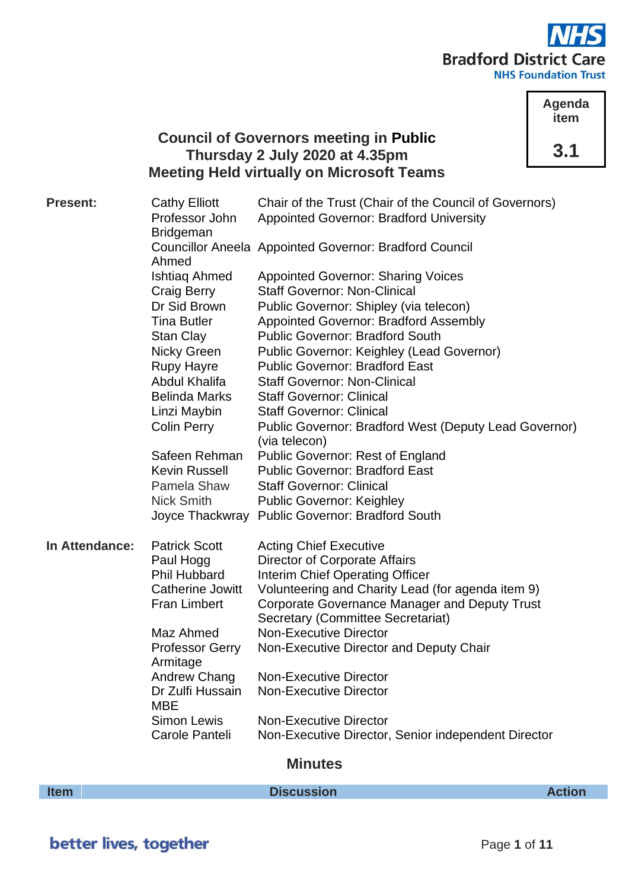

**Agenda item 3.1**

# **Council of Governors meeting in Public Thursday 2 July 2020 at 4.35pm Meeting Held virtually on Microsoft Teams**

| <b>Present:</b> | <b>Cathy Elliott</b>               | Chair of the Trust (Chair of the Council of Governors)                    |
|-----------------|------------------------------------|---------------------------------------------------------------------------|
|                 | Professor John<br><b>Bridgeman</b> | <b>Appointed Governor: Bradford University</b>                            |
|                 | Ahmed                              | <b>Councillor Aneela Appointed Governor: Bradford Council</b>             |
|                 | Ishtiag Ahmed                      | <b>Appointed Governor: Sharing Voices</b>                                 |
|                 | Craig Berry                        | <b>Staff Governor: Non-Clinical</b>                                       |
|                 | Dr Sid Brown                       | Public Governor: Shipley (via telecon)                                    |
|                 | <b>Tina Butler</b>                 | <b>Appointed Governor: Bradford Assembly</b>                              |
|                 | <b>Stan Clay</b>                   | <b>Public Governor: Bradford South</b>                                    |
|                 | Nicky Green                        | Public Governor: Keighley (Lead Governor)                                 |
|                 | <b>Rupy Hayre</b>                  | <b>Public Governor: Bradford East</b>                                     |
|                 | Abdul Khalifa                      | <b>Staff Governor: Non-Clinical</b>                                       |
|                 | <b>Belinda Marks</b>               | <b>Staff Governor: Clinical</b>                                           |
|                 | Linzi Maybin                       | <b>Staff Governor: Clinical</b>                                           |
|                 | <b>Colin Perry</b>                 | Public Governor: Bradford West (Deputy Lead Governor)<br>(via telecon)    |
|                 | Safeen Rehman                      | <b>Public Governor: Rest of England</b>                                   |
|                 | <b>Kevin Russell</b>               | <b>Public Governor: Bradford East</b>                                     |
|                 | Pamela Shaw                        | <b>Staff Governor: Clinical</b>                                           |
|                 | <b>Nick Smith</b>                  | <b>Public Governor: Keighley</b>                                          |
|                 |                                    | Joyce Thackwray Public Governor: Bradford South                           |
| In Attendance:  | <b>Patrick Scott</b>               | <b>Acting Chief Executive</b>                                             |
|                 | Paul Hogg                          | <b>Director of Corporate Affairs</b>                                      |
|                 | <b>Phil Hubbard</b>                | Interim Chief Operating Officer                                           |
|                 | <b>Catherine Jowitt</b>            | Volunteering and Charity Lead (for agenda item 9)                         |
|                 | <b>Fran Limbert</b>                | Corporate Governance Manager and Deputy Trust                             |
|                 | Maz Ahmed                          | <b>Secretary (Committee Secretariat)</b><br><b>Non-Executive Director</b> |
|                 | <b>Professor Gerry</b>             | Non-Executive Director and Deputy Chair                                   |
|                 | Armitage                           |                                                                           |
|                 | Andrew Chang                       | <b>Non-Executive Director</b>                                             |
|                 | Dr Zulfi Hussain                   | <b>Non-Executive Director</b>                                             |
|                 | <b>MBE</b>                         |                                                                           |
|                 | <b>Simon Lewis</b>                 | <b>Non-Executive Director</b>                                             |
|                 | Carole Panteli                     | Non-Executive Director, Senior independent Director                       |

# **Minutes**

**Item Discussion Discussion** *Action*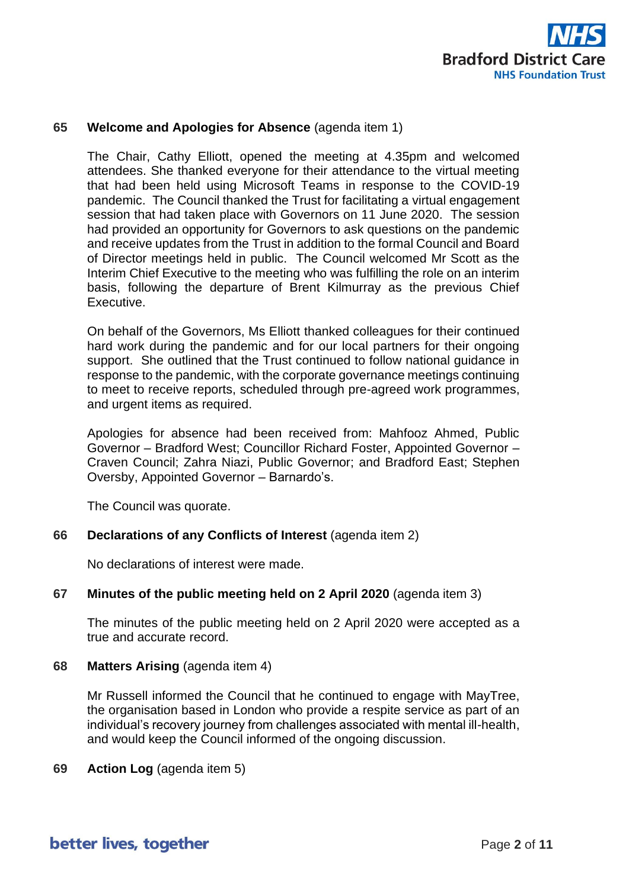

# **65 Welcome and Apologies for Absence** (agenda item 1)

The Chair, Cathy Elliott, opened the meeting at 4.35pm and welcomed attendees. She thanked everyone for their attendance to the virtual meeting that had been held using Microsoft Teams in response to the COVID-19 pandemic. The Council thanked the Trust for facilitating a virtual engagement session that had taken place with Governors on 11 June 2020. The session had provided an opportunity for Governors to ask questions on the pandemic and receive updates from the Trust in addition to the formal Council and Board of Director meetings held in public. The Council welcomed Mr Scott as the Interim Chief Executive to the meeting who was fulfilling the role on an interim basis, following the departure of Brent Kilmurray as the previous Chief Executive.

On behalf of the Governors, Ms Elliott thanked colleagues for their continued hard work during the pandemic and for our local partners for their ongoing support. She outlined that the Trust continued to follow national guidance in response to the pandemic, with the corporate governance meetings continuing to meet to receive reports, scheduled through pre-agreed work programmes, and urgent items as required.

Apologies for absence had been received from: Mahfooz Ahmed, Public Governor – Bradford West; Councillor Richard Foster, Appointed Governor – Craven Council; Zahra Niazi, Public Governor; and Bradford East; Stephen Oversby, Appointed Governor – Barnardo's.

The Council was quorate.

#### **66 Declarations of any Conflicts of Interest** (agenda item 2)

No declarations of interest were made.

#### **67 Minutes of the public meeting held on 2 April 2020** (agenda item 3)

The minutes of the public meeting held on 2 April 2020 were accepted as a true and accurate record.

#### **68 Matters Arising** (agenda item 4)

Mr Russell informed the Council that he continued to engage with MayTree, the organisation based in London who provide a respite service as part of an individual's recovery journey from challenges associated with mental ill-health, and would keep the Council informed of the ongoing discussion.

**69 Action Log** (agenda item 5)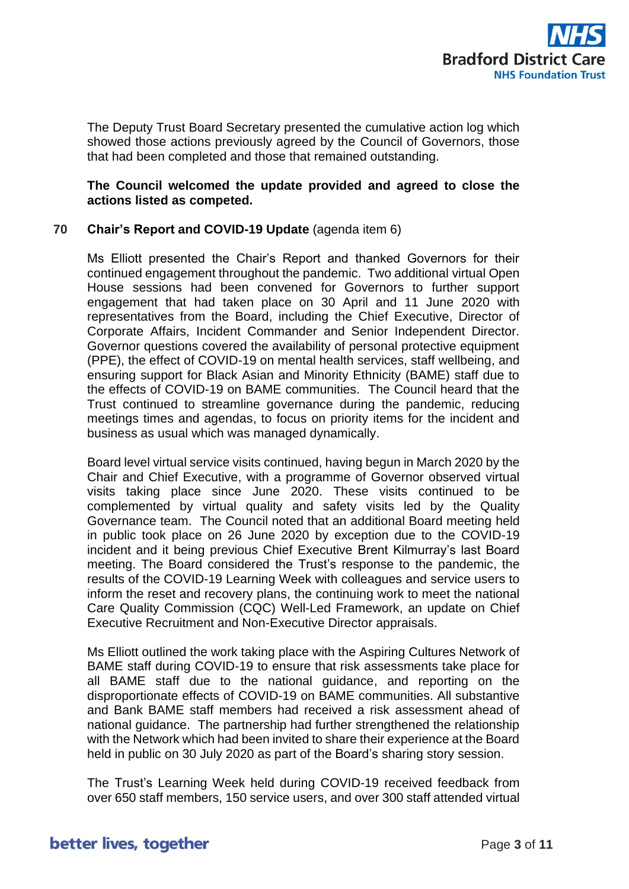

The Deputy Trust Board Secretary presented the cumulative action log which showed those actions previously agreed by the Council of Governors, those that had been completed and those that remained outstanding.

# **The Council welcomed the update provided and agreed to close the actions listed as competed.**

# **70 Chair's Report and COVID-19 Update** (agenda item 6)

Ms Elliott presented the Chair's Report and thanked Governors for their continued engagement throughout the pandemic. Two additional virtual Open House sessions had been convened for Governors to further support engagement that had taken place on 30 April and 11 June 2020 with representatives from the Board, including the Chief Executive, Director of Corporate Affairs, Incident Commander and Senior Independent Director. Governor questions covered the availability of personal protective equipment (PPE), the effect of COVID-19 on mental health services, staff wellbeing, and ensuring support for Black Asian and Minority Ethnicity (BAME) staff due to the effects of COVID-19 on BAME communities. The Council heard that the Trust continued to streamline governance during the pandemic, reducing meetings times and agendas, to focus on priority items for the incident and business as usual which was managed dynamically.

Board level virtual service visits continued, having begun in March 2020 by the Chair and Chief Executive, with a programme of Governor observed virtual visits taking place since June 2020. These visits continued to be complemented by virtual quality and safety visits led by the Quality Governance team. The Council noted that an additional Board meeting held in public took place on 26 June 2020 by exception due to the COVID-19 incident and it being previous Chief Executive Brent Kilmurray's last Board meeting. The Board considered the Trust's response to the pandemic, the results of the COVID-19 Learning Week with colleagues and service users to inform the reset and recovery plans, the continuing work to meet the national Care Quality Commission (CQC) Well-Led Framework, an update on Chief Executive Recruitment and Non-Executive Director appraisals.

Ms Elliott outlined the work taking place with the Aspiring Cultures Network of BAME staff during COVID-19 to ensure that risk assessments take place for all BAME staff due to the national guidance, and reporting on the disproportionate effects of COVID-19 on BAME communities. All substantive and Bank BAME staff members had received a risk assessment ahead of national guidance. The partnership had further strengthened the relationship with the Network which had been invited to share their experience at the Board held in public on 30 July 2020 as part of the Board's sharing story session.

The Trust's Learning Week held during COVID-19 received feedback from over 650 staff members, 150 service users, and over 300 staff attended virtual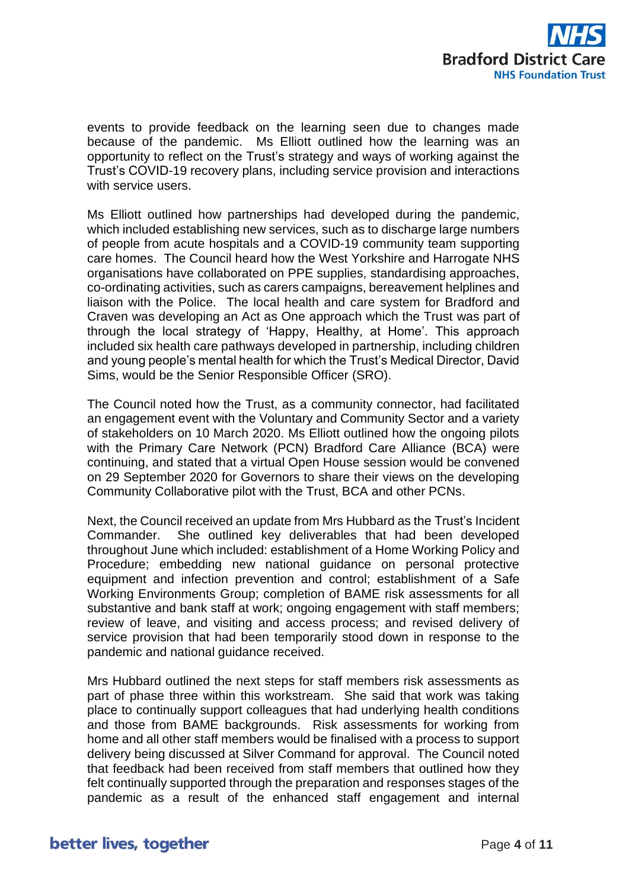

events to provide feedback on the learning seen due to changes made because of the pandemic. Ms Elliott outlined how the learning was an opportunity to reflect on the Trust's strategy and ways of working against the Trust's COVID-19 recovery plans, including service provision and interactions with service users.

Ms Elliott outlined how partnerships had developed during the pandemic, which included establishing new services, such as to discharge large numbers of people from acute hospitals and a COVID-19 community team supporting care homes. The Council heard how the West Yorkshire and Harrogate NHS organisations have collaborated on PPE supplies, standardising approaches, co-ordinating activities, such as carers campaigns, bereavement helplines and liaison with the Police. The local health and care system for Bradford and Craven was developing an Act as One approach which the Trust was part of through the local strategy of 'Happy, Healthy, at Home'. This approach included six health care pathways developed in partnership, including children and young people's mental health for which the Trust's Medical Director, David Sims, would be the Senior Responsible Officer (SRO).

The Council noted how the Trust, as a community connector, had facilitated an engagement event with the Voluntary and Community Sector and a variety of stakeholders on 10 March 2020. Ms Elliott outlined how the ongoing pilots with the Primary Care Network (PCN) Bradford Care Alliance (BCA) were continuing, and stated that a virtual Open House session would be convened on 29 September 2020 for Governors to share their views on the developing Community Collaborative pilot with the Trust, BCA and other PCNs.

Next, the Council received an update from Mrs Hubbard as the Trust's Incident Commander. She outlined key deliverables that had been developed throughout June which included: establishment of a Home Working Policy and Procedure; embedding new national guidance on personal protective equipment and infection prevention and control; establishment of a Safe Working Environments Group; completion of BAME risk assessments for all substantive and bank staff at work; ongoing engagement with staff members; review of leave, and visiting and access process; and revised delivery of service provision that had been temporarily stood down in response to the pandemic and national guidance received.

Mrs Hubbard outlined the next steps for staff members risk assessments as part of phase three within this workstream. She said that work was taking place to continually support colleagues that had underlying health conditions and those from BAME backgrounds. Risk assessments for working from home and all other staff members would be finalised with a process to support delivery being discussed at Silver Command for approval. The Council noted that feedback had been received from staff members that outlined how they felt continually supported through the preparation and responses stages of the pandemic as a result of the enhanced staff engagement and internal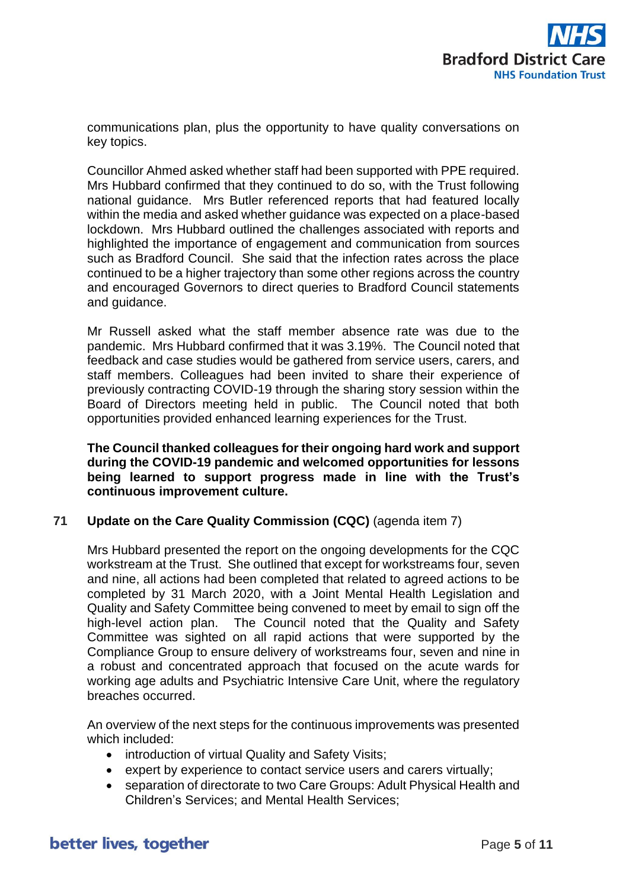

communications plan, plus the opportunity to have quality conversations on key topics.

Councillor Ahmed asked whether staff had been supported with PPE required. Mrs Hubbard confirmed that they continued to do so, with the Trust following national guidance. Mrs Butler referenced reports that had featured locally within the media and asked whether guidance was expected on a place-based lockdown. Mrs Hubbard outlined the challenges associated with reports and highlighted the importance of engagement and communication from sources such as Bradford Council. She said that the infection rates across the place continued to be a higher trajectory than some other regions across the country and encouraged Governors to direct queries to Bradford Council statements and guidance.

Mr Russell asked what the staff member absence rate was due to the pandemic. Mrs Hubbard confirmed that it was 3.19%. The Council noted that feedback and case studies would be gathered from service users, carers, and staff members. Colleagues had been invited to share their experience of previously contracting COVID-19 through the sharing story session within the Board of Directors meeting held in public. The Council noted that both opportunities provided enhanced learning experiences for the Trust.

**The Council thanked colleagues for their ongoing hard work and support during the COVID-19 pandemic and welcomed opportunities for lessons being learned to support progress made in line with the Trust's continuous improvement culture.**

### **71 Update on the Care Quality Commission (CQC)** (agenda item 7)

Mrs Hubbard presented the report on the ongoing developments for the CQC workstream at the Trust. She outlined that except for workstreams four, seven and nine, all actions had been completed that related to agreed actions to be completed by 31 March 2020, with a Joint Mental Health Legislation and Quality and Safety Committee being convened to meet by email to sign off the high-level action plan. The Council noted that the Quality and Safety Committee was sighted on all rapid actions that were supported by the Compliance Group to ensure delivery of workstreams four, seven and nine in a robust and concentrated approach that focused on the acute wards for working age adults and Psychiatric Intensive Care Unit, where the regulatory breaches occurred.

An overview of the next steps for the continuous improvements was presented which included:

- introduction of virtual Quality and Safety Visits;
- expert by experience to contact service users and carers virtually;
- separation of directorate to two Care Groups: Adult Physical Health and Children's Services; and Mental Health Services;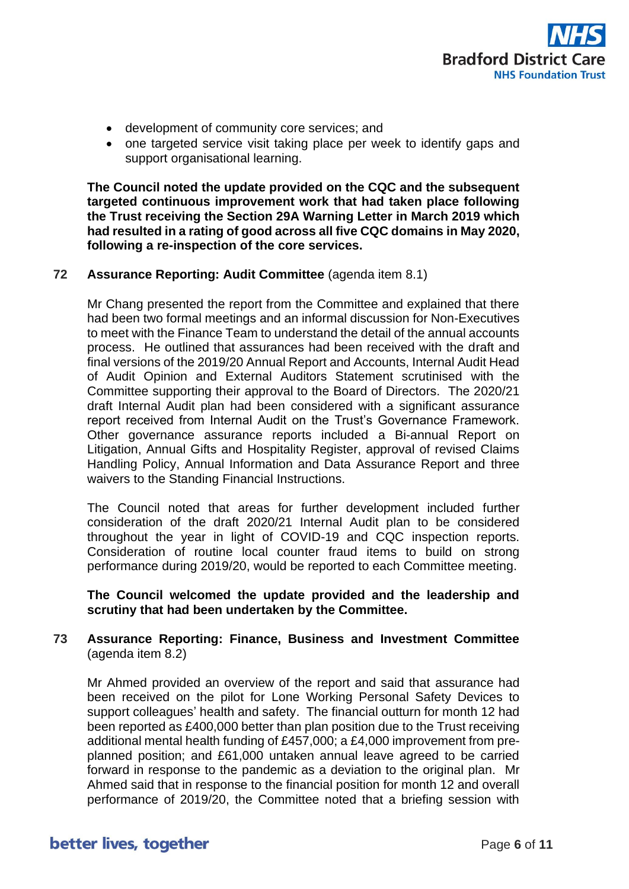

- development of community core services; and
- one targeted service visit taking place per week to identify gaps and support organisational learning.

**The Council noted the update provided on the CQC and the subsequent targeted continuous improvement work that had taken place following the Trust receiving the Section 29A Warning Letter in March 2019 which had resulted in a rating of good across all five CQC domains in May 2020, following a re-inspection of the core services.**

# **72 Assurance Reporting: Audit Committee** (agenda item 8.1)

Mr Chang presented the report from the Committee and explained that there had been two formal meetings and an informal discussion for Non-Executives to meet with the Finance Team to understand the detail of the annual accounts process. He outlined that assurances had been received with the draft and final versions of the 2019/20 Annual Report and Accounts, Internal Audit Head of Audit Opinion and External Auditors Statement scrutinised with the Committee supporting their approval to the Board of Directors. The 2020/21 draft Internal Audit plan had been considered with a significant assurance report received from Internal Audit on the Trust's Governance Framework. Other governance assurance reports included a Bi-annual Report on Litigation, Annual Gifts and Hospitality Register, approval of revised Claims Handling Policy, Annual Information and Data Assurance Report and three waivers to the Standing Financial Instructions.

The Council noted that areas for further development included further consideration of the draft 2020/21 Internal Audit plan to be considered throughout the year in light of COVID-19 and CQC inspection reports. Consideration of routine local counter fraud items to build on strong performance during 2019/20, would be reported to each Committee meeting.

**The Council welcomed the update provided and the leadership and scrutiny that had been undertaken by the Committee.**

# **73 Assurance Reporting: Finance, Business and Investment Committee** (agenda item 8.2)

Mr Ahmed provided an overview of the report and said that assurance had been received on the pilot for Lone Working Personal Safety Devices to support colleagues' health and safety. The financial outturn for month 12 had been reported as £400,000 better than plan position due to the Trust receiving additional mental health funding of £457,000; a £4,000 improvement from preplanned position; and £61,000 untaken annual leave agreed to be carried forward in response to the pandemic as a deviation to the original plan. Mr Ahmed said that in response to the financial position for month 12 and overall performance of 2019/20, the Committee noted that a briefing session with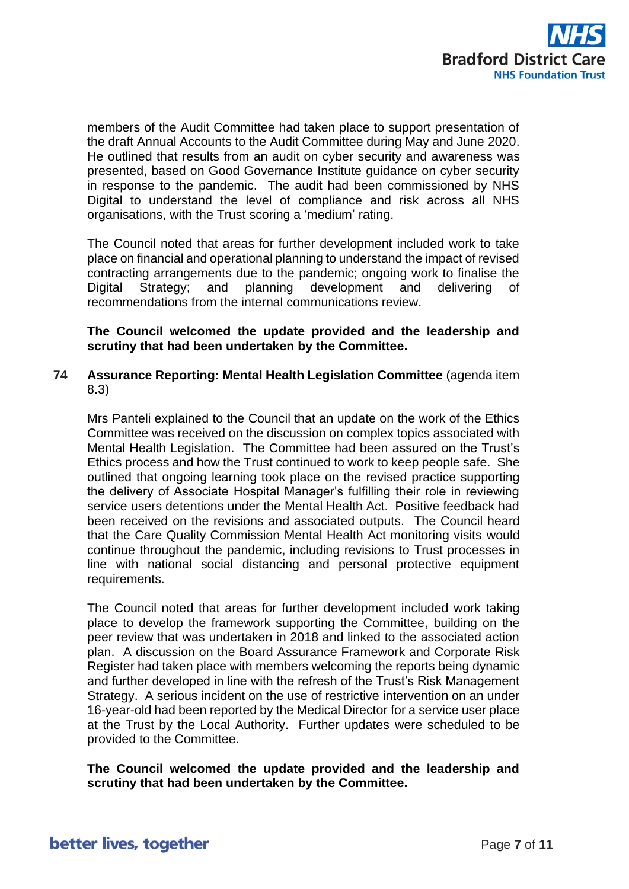

members of the Audit Committee had taken place to support presentation of the draft Annual Accounts to the Audit Committee during May and June 2020. He outlined that results from an audit on cyber security and awareness was presented, based on Good Governance Institute guidance on cyber security in response to the pandemic. The audit had been commissioned by NHS Digital to understand the level of compliance and risk across all NHS organisations, with the Trust scoring a 'medium' rating.

The Council noted that areas for further development included work to take place on financial and operational planning to understand the impact of revised contracting arrangements due to the pandemic; ongoing work to finalise the Digital Strategy; and planning development and delivering of recommendations from the internal communications review.

**The Council welcomed the update provided and the leadership and scrutiny that had been undertaken by the Committee.**

# **74 Assurance Reporting: Mental Health Legislation Committee** (agenda item 8.3)

Mrs Panteli explained to the Council that an update on the work of the Ethics Committee was received on the discussion on complex topics associated with Mental Health Legislation. The Committee had been assured on the Trust's Ethics process and how the Trust continued to work to keep people safe. She outlined that ongoing learning took place on the revised practice supporting the delivery of Associate Hospital Manager's fulfilling their role in reviewing service users detentions under the Mental Health Act. Positive feedback had been received on the revisions and associated outputs. The Council heard that the Care Quality Commission Mental Health Act monitoring visits would continue throughout the pandemic, including revisions to Trust processes in line with national social distancing and personal protective equipment requirements.

The Council noted that areas for further development included work taking place to develop the framework supporting the Committee, building on the peer review that was undertaken in 2018 and linked to the associated action plan. A discussion on the Board Assurance Framework and Corporate Risk Register had taken place with members welcoming the reports being dynamic and further developed in line with the refresh of the Trust's Risk Management Strategy. A serious incident on the use of restrictive intervention on an under 16-year-old had been reported by the Medical Director for a service user place at the Trust by the Local Authority. Further updates were scheduled to be provided to the Committee.

**The Council welcomed the update provided and the leadership and scrutiny that had been undertaken by the Committee.**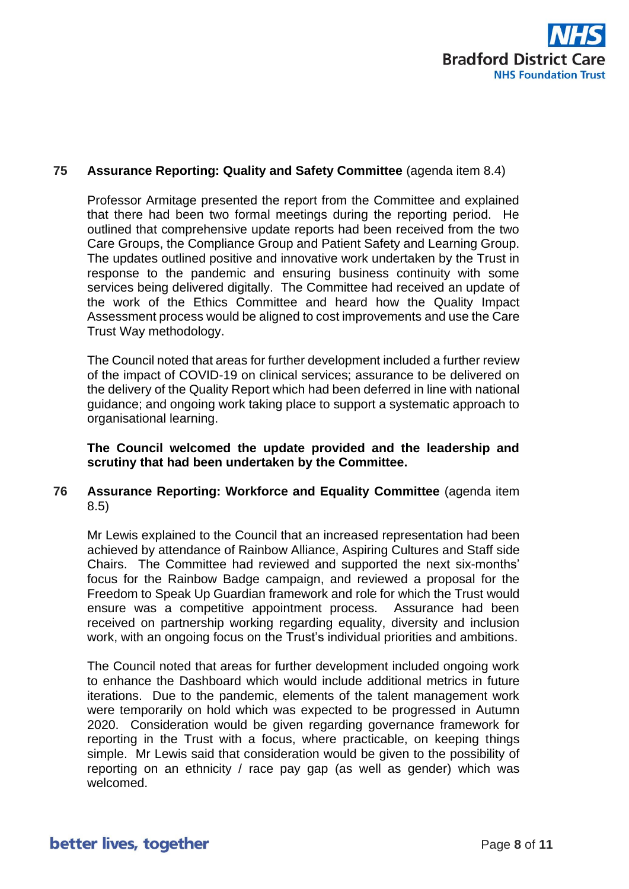

# **75 Assurance Reporting: Quality and Safety Committee** (agenda item 8.4)

Professor Armitage presented the report from the Committee and explained that there had been two formal meetings during the reporting period. He outlined that comprehensive update reports had been received from the two Care Groups, the Compliance Group and Patient Safety and Learning Group. The updates outlined positive and innovative work undertaken by the Trust in response to the pandemic and ensuring business continuity with some services being delivered digitally. The Committee had received an update of the work of the Ethics Committee and heard how the Quality Impact Assessment process would be aligned to cost improvements and use the Care Trust Way methodology.

The Council noted that areas for further development included a further review of the impact of COVID-19 on clinical services; assurance to be delivered on the delivery of the Quality Report which had been deferred in line with national guidance; and ongoing work taking place to support a systematic approach to organisational learning.

**The Council welcomed the update provided and the leadership and scrutiny that had been undertaken by the Committee.**

# **76 Assurance Reporting: Workforce and Equality Committee** (agenda item 8.5)

Mr Lewis explained to the Council that an increased representation had been achieved by attendance of Rainbow Alliance, Aspiring Cultures and Staff side Chairs. The Committee had reviewed and supported the next six-months' focus for the Rainbow Badge campaign, and reviewed a proposal for the Freedom to Speak Up Guardian framework and role for which the Trust would ensure was a competitive appointment process. Assurance had been received on partnership working regarding equality, diversity and inclusion work, with an ongoing focus on the Trust's individual priorities and ambitions.

The Council noted that areas for further development included ongoing work to enhance the Dashboard which would include additional metrics in future iterations. Due to the pandemic, elements of the talent management work were temporarily on hold which was expected to be progressed in Autumn 2020. Consideration would be given regarding governance framework for reporting in the Trust with a focus, where practicable, on keeping things simple. Mr Lewis said that consideration would be given to the possibility of reporting on an ethnicity / race pay gap (as well as gender) which was welcomed.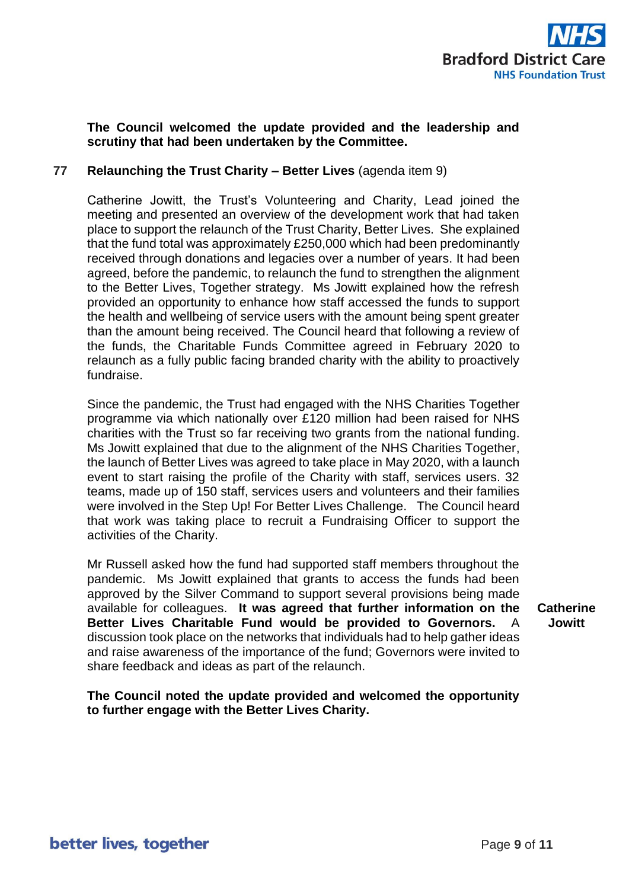

# **The Council welcomed the update provided and the leadership and scrutiny that had been undertaken by the Committee.**

# **77 Relaunching the Trust Charity – Better Lives** (agenda item 9)

Catherine Jowitt, the Trust's Volunteering and Charity, Lead joined the meeting and presented an overview of the development work that had taken place to support the relaunch of the Trust Charity, Better Lives. She explained that the fund total was approximately £250,000 which had been predominantly received through donations and legacies over a number of years. It had been agreed, before the pandemic, to relaunch the fund to strengthen the alignment to the Better Lives, Together strategy. Ms Jowitt explained how the refresh provided an opportunity to enhance how staff accessed the funds to support the health and wellbeing of service users with the amount being spent greater than the amount being received. The Council heard that following a review of the funds, the Charitable Funds Committee agreed in February 2020 to relaunch as a fully public facing branded charity with the ability to proactively fundraise.

Since the pandemic, the Trust had engaged with the NHS Charities Together programme via which nationally over £120 million had been raised for NHS charities with the Trust so far receiving two grants from the national funding. Ms Jowitt explained that due to the alignment of the NHS Charities Together, the launch of Better Lives was agreed to take place in May 2020, with a launch event to start raising the profile of the Charity with staff, services users. 32 teams, made up of 150 staff, services users and volunteers and their families were involved in the Step Up! For Better Lives Challenge. The Council heard that work was taking place to recruit a Fundraising Officer to support the activities of the Charity.

Mr Russell asked how the fund had supported staff members throughout the pandemic. Ms Jowitt explained that grants to access the funds had been approved by the Silver Command to support several provisions being made available for colleagues. **It was agreed that further information on the Better Lives Charitable Fund would be provided to Governors.** A discussion took place on the networks that individuals had to help gather ideas and raise awareness of the importance of the fund; Governors were invited to share feedback and ideas as part of the relaunch.

**Catherine Jowitt**

**The Council noted the update provided and welcomed the opportunity to further engage with the Better Lives Charity.**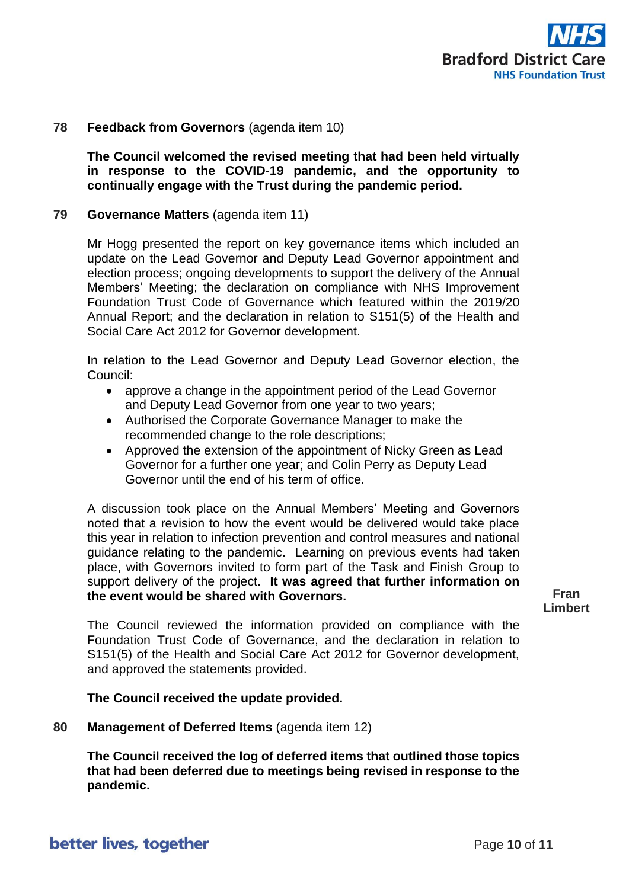

### **78 Feedback from Governors** (agenda item 10)

**The Council welcomed the revised meeting that had been held virtually in response to the COVID-19 pandemic, and the opportunity to continually engage with the Trust during the pandemic period.**

#### **79 Governance Matters** (agenda item 11)

Mr Hogg presented the report on key governance items which included an update on the Lead Governor and Deputy Lead Governor appointment and election process; ongoing developments to support the delivery of the Annual Members' Meeting; the declaration on compliance with NHS Improvement Foundation Trust Code of Governance which featured within the 2019/20 Annual Report; and the declaration in relation to S151(5) of the Health and Social Care Act 2012 for Governor development.

In relation to the Lead Governor and Deputy Lead Governor election, the Council:

- approve a change in the appointment period of the Lead Governor and Deputy Lead Governor from one year to two years;
- Authorised the Corporate Governance Manager to make the recommended change to the role descriptions;
- Approved the extension of the appointment of Nicky Green as Lead Governor for a further one year; and Colin Perry as Deputy Lead Governor until the end of his term of office.

A discussion took place on the Annual Members' Meeting and Governors noted that a revision to how the event would be delivered would take place this year in relation to infection prevention and control measures and national guidance relating to the pandemic. Learning on previous events had taken place, with Governors invited to form part of the Task and Finish Group to support delivery of the project. **It was agreed that further information on the event would be shared with Governors.** 

**Fran Limbert**

The Council reviewed the information provided on compliance with the Foundation Trust Code of Governance, and the declaration in relation to S151(5) of the Health and Social Care Act 2012 for Governor development, and approved the statements provided.

#### **The Council received the update provided.**

**80 Management of Deferred Items** (agenda item 12)

**The Council received the log of deferred items that outlined those topics that had been deferred due to meetings being revised in response to the pandemic.**